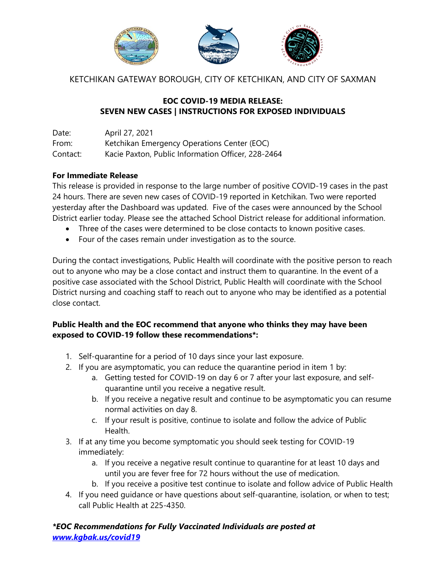

KETCHIKAN GATEWAY BOROUGH, CITY OF KETCHIKAN, AND CITY OF SAXMAN

## **EOC COVID-19 MEDIA RELEASE: SEVEN NEW CASES | INSTRUCTIONS FOR EXPOSED INDIVIDUALS**

Date: April 27, 2021 From: Ketchikan Emergency Operations Center (EOC) Contact: Kacie Paxton, Public Information Officer, 228-2464

## **For Immediate Release**

This release is provided in response to the large number of positive COVID-19 cases in the past 24 hours. There are seven new cases of COVID-19 reported in Ketchikan. Two were reported yesterday after the Dashboard was updated. Five of the cases were announced by the School District earlier today. Please see the attached School District release for additional information.

- Three of the cases were determined to be close contacts to known positive cases.
- Four of the cases remain under investigation as to the source.

During the contact investigations, Public Health will coordinate with the positive person to reach out to anyone who may be a close contact and instruct them to quarantine. In the event of a positive case associated with the School District, Public Health will coordinate with the School District nursing and coaching staff to reach out to anyone who may be identified as a potential close contact.

## **Public Health and the EOC recommend that anyone who thinks they may have been exposed to COVID-19 follow these recommendations\*:**

- 1. Self-quarantine for a period of 10 days since your last exposure.
- 2. If you are asymptomatic, you can reduce the quarantine period in item 1 by:
	- a. Getting tested for COVID-19 on day 6 or 7 after your last exposure, and selfquarantine until you receive a negative result.
	- b. If you receive a negative result and continue to be asymptomatic you can resume normal activities on day 8.
	- c. If your result is positive, continue to isolate and follow the advice of Public Health.
- 3. If at any time you become symptomatic you should seek testing for COVID-19 immediately:
	- a. If you receive a negative result continue to quarantine for at least 10 days and until you are fever free for 72 hours without the use of medication.
	- b. If you receive a positive test continue to isolate and follow advice of Public Health
- 4. If you need guidance or have questions about self-quarantine, isolation, or when to test; call Public Health at 225-4350.

*\*EOC Recommendations for Fully Vaccinated Individuals are posted at [www.kgbak.us/covid19](http://www.kgbak.us/covid19)*